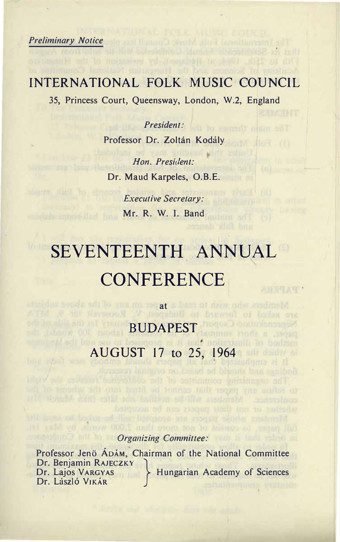**Preliminary Notice** 

bria ethnik won

## INTERNATIONAL FOLK MUSIC COUNCIL

pagnoD Bungal meshingga zi mit

35, Princess Court, Queensway, London, W.2, England

 *-" President:* Professor Dr. Zoltán Kodály

 $H$ on. President: Dr. Maud Karpeles, O.B.E.

> Executive Secretary: **Mr. R. W. I. Band**

# SEVENTEENTH ANNUAL CONFERENCE<sub>|</sub> **RNTHANY**

  
 BUDAPEST - - AUGUST 17 to 25, 1964

**3NU** *at*

## full mayer, to consist of not more than 2,000 words, by May Jut.  *!"-" Organizing Committee:*

att institution of the papers are accepted with the polyestant and

Professor Jenö ADAM, Chairman of the National Committee Dr. Benjamin RAJECZKY **IULE TU-3 III SEXET SEXUARGYAS Hungarian Academy of Sciences** Dr. László Vikár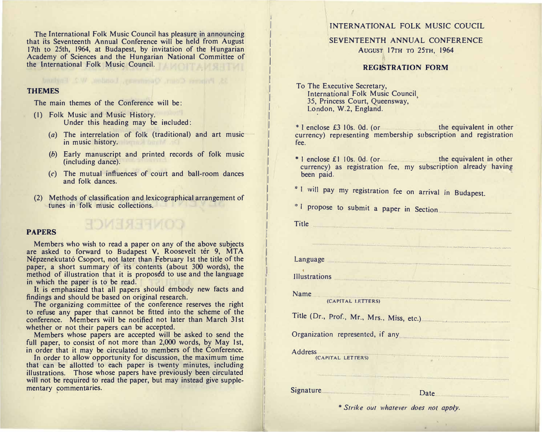The International Folk Music Council has pleasure in announcing that its Seventeenth Annual Conference will be held from August 17th to 25th, 1964, at Budapest, by invitation of the Hungarian Academy of Sciences and the Hungarian National Committee of the International Folk Music Council.

#### **THEMES**

The main themes of the Conference will be:

- (1) Folk Music and Music History. Under this heading may be included:
	- (a) The interrelation of folk (traditional) and art music in music history.
	- (b) Early manuscript and printed records of folk music (including dance).
	- (c) The mutual influences of court and ball-room dances and folk dances.
- (2) Methods of classification and lexicographical arrangement of tunes in folk music collections.

#### **PAPERS**

Members who wish to read a paper on any of the above subjects are asked to forward to Budapest V. Roosevelt tér 9, MTA Népzenekutató Csoport, not later than February 1st the title of the paper, a short summary of its contents (about 300 words), the method of illustration that it is proposed to use and the language in which the paper is to be read.

**HOMESBERG** 

It is emphasized that all papers should embody new facts and findings and should be based on original research.

The organizing committee of the conference reserves the right to refuse any paper that cannot be fitted into the scheme of the conference. Members will be notified not later than March 31st whether or not their papers can be accepted.

Members whose papers are accepted will be asked to send the full paper, to consist of not more than 2,000 words, by May 1st, in order that it may be circulated to members of the Conference.

In order to allow opportunity for discussion, the maximum time that can be allotted to each paper is twenty minutes, including illustrations. Those whose papers have previously been circulated will not be required to read the paper, but may instead give supplementary commentaries.

#### INTERNATIONAL FOLK MUSIC COUCIL

#### SEVENTEENTH ANNUAL CONFERENCE AUGUST 17TH TO 25TH, 1964

#### REGISTRATION FORM

To The Executive Secretary, International Folk Music Council 35, Princess Court, Queensway, London, W.2, England.

 $*$  I enclose £3 10s, 0d, (or the equivalent in other currency) representing membership subscription and registration fee.

\* I enclose £1 10s. 0d. (or the equivalent in other currency) as registration fee, my subscription already having been paid.

\* I will pay my registration fee on arrival in Budapest.

<sup>\*</sup> I propose to submit a paper in Section

**Title** 

Language

**Illustrations** 

**Name** 

(CAPITAL LETTERS)

Title (Dr., Prof., Mr., Mrs., Miss, etc.)

Organization represented, if any

**Address** 

(CAPITAL LETTERS)

**Signature** 

Date

 $\overline{4}$ 

\* Strike out whatever does not apply.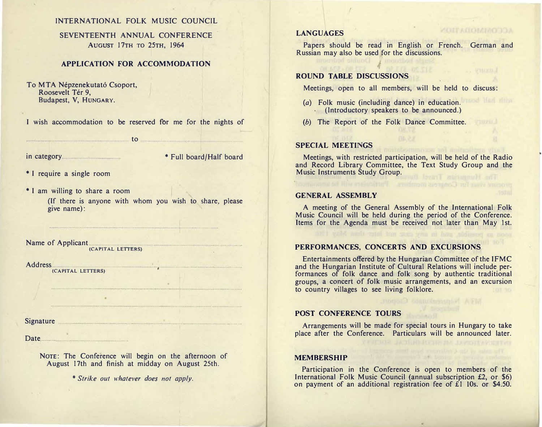## **INTERNATIONAL FOLK MUSIC COUNCIL**

## **SEVENTEENTH ANNUAL CONFERENCE -
&K7} "K8} (%!}** AUGUST 17TH TO 25TH, 1964

#### **- - --**  APPLICATION FOR ACCOMMODATION

To MTA Népzenekutató Csoport, Roosevelt Tér 9, **Budapest, V, HUNGARY.** 

Budapest, V, HUNGARY.<br>I wish accommodation to be reserved for me for the nights of

to

in category **and the CoronAlly support of**  $\bullet$  **Full board/Half board** 

 $*$  I require a single room

\* I am willing to share a room

(If there is anyone with whom you wish to share, please give name):

-- 8

Name of Applicant  **-**  (CAPITAL LETTERS)

Address  **-**(CAPITAL LETTERS)

Signature

Date

 $N$ OTE: The Conference will begin on the afternoon of **August 17th and finish at midday on August 25th.** 

 -

 *\* Strike out whatever does not apply.*

#### **--** LANGUAGES

Papers should be read in English or French. German and Russian may also be used for the discussions.

**ИЗДГАВОМИОГОА** 

#### **-**  ROUND TABLE DISCUSSIONS

imported bound bodycards

**Meetings, open to all members, will be held to discuss:** 

- $(a)$  Folk music (including dance) in education. (Introductory speakers to be announced.)
- *(b)* The Report of the Folk Dance Committee.

#### **-**  SPECIAL MEETINGS

Meetings, with restricted participation, will be held of the Radio and Record Library Committee, the Text Study Group and the Music Instruments Study Group.

#### **- -**  GENERAL ASSEMBLY

A meeting of the General Assembly of the International Folk **Music Council will be held during the period of the Conference.** Items for the Agenda must be received not later than May 1st.

#### **- -** PERFORMANCES, CONCERTS AND EXCURSIONS

Entertainments offered by the Hungarian Committee of the IFMC and the Hungarian Institute of Cultural Relations will include performances of folk dance and folk song by authentic traditional groups, a concert of folk music arrangements, and an excursion **to country villages to see living folklore.** 

#### POST CONFERENCE TOURS

Arrangements will be made for special tours in Hungary to take place after the Conference. Particulars will be announced later.

#### MEMBERSHIP

Participation in the Conference is open to members of the International Folk Music Council (annual subscription £2, or \$6) **on payment of an additional registration fee of £1 10s. or \$4.50.** 

1. Days are all 2 and their art to